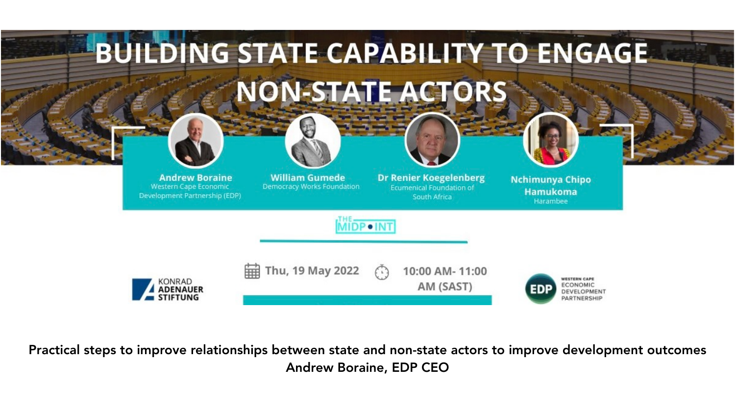

Practical steps to improve relationships between state and non-state actors to improve development outcomes Andrew Boraine, EDP CEO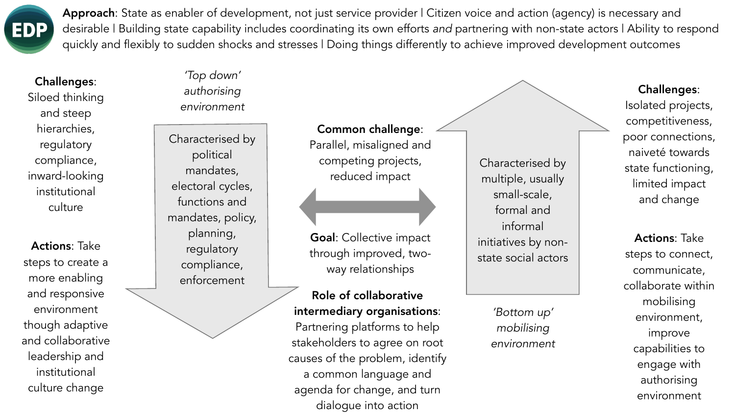*'Top down' authorising environment*

> *'Bottom up' mobilising environment*

Characterised by political mandates, electoral cycles, functions and mandates, policy, planning, regulatory compliance, enforcement

Characterised by multiple, usually small-scale, formal and informal initiatives by nonstate social actors



Approach: State as enabler of development, not just service provider I Citizen voice and action (agency) is necessary and desirable | Building state capability includes coordinating its own efforts *and* partnering with non-state actors | Ability to respond quickly and flexibly to sudden shocks and stresses | Doing things differently to achieve improved development outcomes

Actions: Take steps to create a more enabling and responsive environment though adaptive and collaborative leadership and institutional culture change

### Challenges:

Siloed thinking and steep hierarchies, regulatory compliance, inward-looking institutional culture

## Challenges:

Isolated projects, competitiveness, poor connections, naiveté towards state functioning, limited impact and change

Actions: Take steps to connect, communicate, collaborate within mobilising environment, improve capabilities to engage with authorising environment













Goal: Collective impact through improved, twoway relationships

Role of collaborative intermediary organisations: Partnering platforms to help stakeholders to agree on root causes of the problem, identify a common language and agenda for change, and turn dialogue into action

Common challenge: Parallel, misaligned and competing projects, reduced impact